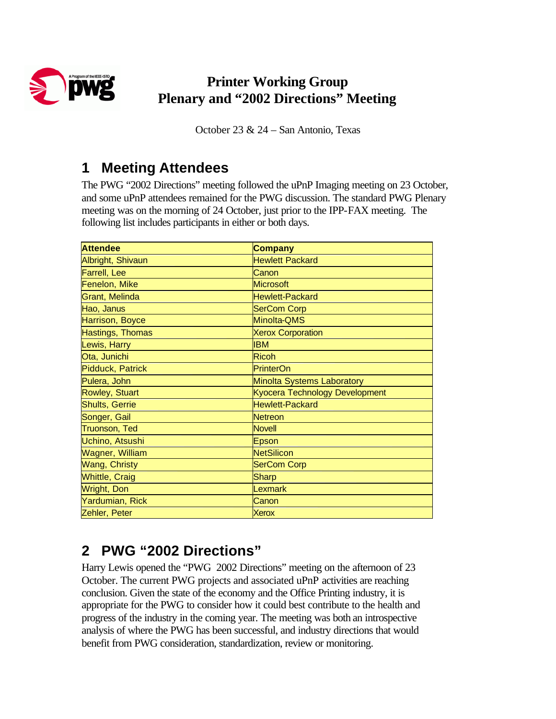

# **Printer Working Group Plenary and "2002 Directions" Meeting**

October 23 & 24 – San Antonio, Texas

# **1 Meeting Attendees**

The PWG "2002 Directions" meeting followed the uPnP Imaging meeting on 23 October, and some uPnP attendees remained for the PWG discussion. The standard PWG Plenary meeting was on the morning of 24 October, just prior to the IPP-FAX meeting. The following list includes participants in either or both days.

| <b>Attendee</b>         | <b>Company</b>                    |
|-------------------------|-----------------------------------|
| Albright, Shivaun       | <b>Hewlett Packard</b>            |
| Farrell, Lee            | Canon                             |
| Fenelon, Mike           | <b>Microsoft</b>                  |
| <b>Grant, Melinda</b>   | <b>Hewlett-Packard</b>            |
| Hao, Janus              | <b>SerCom Corp</b>                |
| Harrison, Boyce         | Minolta-QMS                       |
| Hastings, Thomas        | <b>Xerox Corporation</b>          |
| Lewis, Harry            | <b>IBM</b>                        |
| Ota, Junichi            | <b>Ricoh</b>                      |
| <b>Pidduck, Patrick</b> | <b>PrinterOn</b>                  |
| Pulera, John            | <b>Minolta Systems Laboratory</b> |
| Rowley, Stuart          | Kyocera Technology Development    |
| Shults, Gerrie          | <b>Hewlett-Packard</b>            |
| Songer, Gail            | Netreon                           |
| <b>Truonson, Ted</b>    | <b>Novell</b>                     |
| Uchino, Atsushi         | Epson                             |
| <b>Wagner, William</b>  | <b>NetSilicon</b>                 |
| <b>Wang, Christy</b>    | <b>SerCom Corp</b>                |
| <b>Whittle, Craig</b>   | <b>Sharp</b>                      |
| Wright, Don             | Lexmark                           |
| Yardumian, Rick         | Canon                             |
| Zehler, Peter           | <b>Xerox</b>                      |

# **2 PWG "2002 Directions"**

Harry Lewis opened the "PWG 2002 Directions" meeting on the afternoon of 23 October. The current PWG projects and associated uPnP activities are reaching conclusion. Given the state of the economy and the Office Printing industry, it is appropriate for the PWG to consider how it could best contribute to the health and progress of the industry in the coming year. The meeting was both an introspective analysis of where the PWG has been successful, and industry directions that would benefit from PWG consideration, standardization, review or monitoring.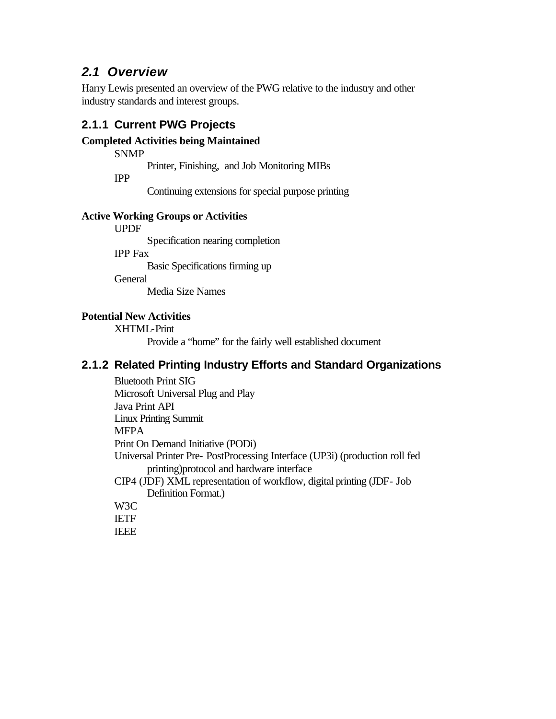## *2.1 Overview*

Harry Lewis presented an overview of the PWG relative to the industry and other industry standards and interest groups.

### **2.1.1 Current PWG Projects**

### **Completed Activities being Maintained**

SNMP

Printer, Finishing, and Job Monitoring MIBs

IPP

Continuing extensions for special purpose printing

### **Active Working Groups or Activities**

UPDF

Specification nearing completion

IPP Fax

Basic Specifications firming up

**General** 

Media Size Names

### **Potential New Activities**

XHTML-Print

Provide a "home" for the fairly well established document

### **2.1.2 Related Printing Industry Efforts and Standard Organizations**

Bluetooth Print SIG Microsoft Universal Plug and Play Java Print API Linux Printing Summit MFPA Print On Demand Initiative (PODi) Universal Printer Pre- PostProcessing Interface (UP3i) (production roll fed printing)protocol and hardware interface CIP4 (JDF) XML representation of workflow, digital printing (JDF- Job Definition Format.) W3C IETF **IEEE**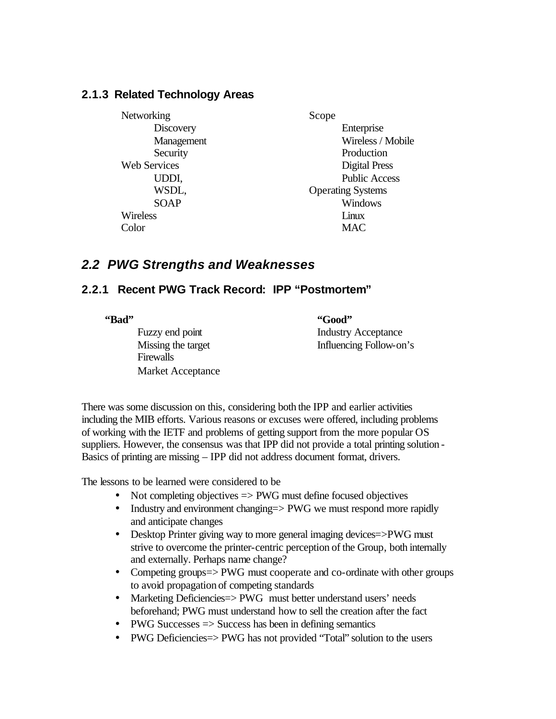### **2.1.3 Related Technology Areas**

**Networking Discovery** Management **Security** Web Services UDDI, WSDL, SOAP Wireless Color

Scope Enterprise Wireless / Mobile Production Digital Press Public Access Operating Systems Windows Linux MAC

## *2.2 PWG Strengths and Weaknesses*

## **2.2.1 Recent PWG Track Record: IPP "Postmortem"**

**"Bad"**

Fuzzy end point Missing the target Firewalls Market Acceptance

**"Good"** Industry Acceptance Influencing Follow-on's

There was some discussion on this, considering both the IPP and earlier activities including the MIB efforts. Various reasons or excuses were offered, including problems of working with the IETF and problems of getting support from the more popular OS suppliers. However, the consensus was that IPP did not provide a total printing solution - Basics of printing are missing – IPP did not address document format, drivers.

The lessons to be learned were considered to be

- Not completing objectives => PWG must define focused objectives
- Industry and environment changing = > PWG we must respond more rapidly and anticipate changes
- Desktop Printer giving way to more general imaging devices=>PWG must strive to overcome the printer-centric perception of the Group, both internally and externally. Perhaps name change?
- Competing groups=> PWG must cooperate and co-ordinate with other groups to avoid propagation of competing standards
- Marketing Deficiencies = > PWG must better understand users' needs beforehand; PWG must understand how to sell the creation after the fact
- PWG Successes  $\Rightarrow$  Success has been in defining semantics
- PWG Deficiencies = > PWG has not provided "Total" solution to the users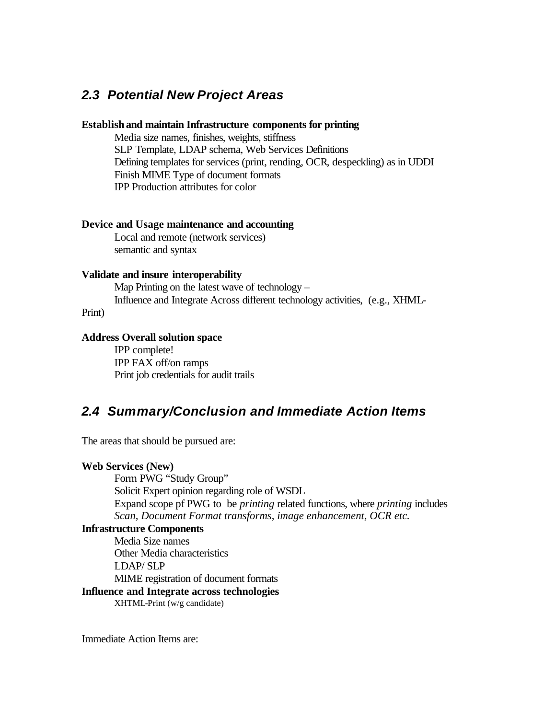## *2.3 Potential New Project Areas*

### **Establishand maintain Infrastructure components for printing**

Media size names, finishes, weights, stiffness SLP Template, LDAP schema, Web Services Definitions Defining templates for services (print, rending, OCR, despeckling) as in UDDI Finish MIME Type of document formats IPP Production attributes for color

### **Device and Usage maintenance and accounting**

Local and remote (network services) semantic and syntax

#### **Validate and insure interoperability**

Map Printing on the latest wave of technology – Influence and Integrate Across different technology activities, (e.g., XHML-

Print)

### **Address Overall solution space**

IPP complete! IPP FAX off/on ramps Print job credentials for audit trails

## *2.4 Summary/Conclusion and Immediate Action Items*

The areas that should be pursued are:

#### **Web Services (New)**

Form PWG "Study Group" Solicit Expert opinion regarding role of WSDL Expand scope pf PWG to be *printing* related functions, where *printing* includes *Scan, Document Format transforms, image enhancement, OCR etc.* 

### **Infrastructure Components**

Media Size names Other Media characteristics LDAP/ SLP MIME registration of document formats

## **Influence and Integrate across technologies**

XHTML-Print (w/g candidate)

Immediate Action Items are: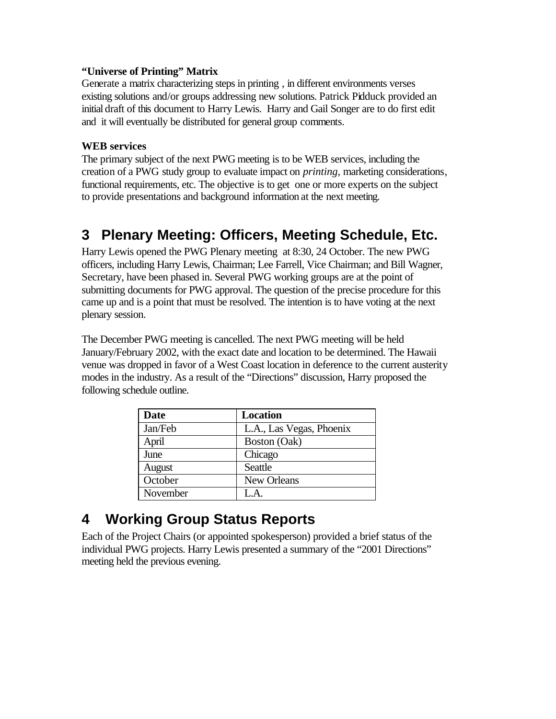### **"Universe of Printing" Matrix**

Generate a matrix characterizing steps in printing , in different environments verses existing solutions and/or groups addressing new solutions. Patrick Pidduck provided an initial draft of this document to Harry Lewis. Harry and Gail Songer are to do first edit and it will eventually be distributed for general group comments.

### **WEB services**

The primary subject of the next PWG meeting is to be WEB services, including the creation of a PWG study group to evaluate impact on *printing,* marketing considerations, functional requirements, etc. The objective is to get one or more experts on the subject to provide presentations and background information at the next meeting.

# **3 Plenary Meeting: Officers, Meeting Schedule, Etc.**

Harry Lewis opened the PWG Plenary meeting at 8:30, 24 October. The new PWG officers, including Harry Lewis, Chairman; Lee Farrell, Vice Chairman; and Bill Wagner, Secretary, have been phased in. Several PWG working groups are at the point of submitting documents for PWG approval. The question of the precise procedure for this came up and is a point that must be resolved. The intention is to have voting at the next plenary session.

The December PWG meeting is cancelled. The next PWG meeting will be held January/February 2002, with the exact date and location to be determined. The Hawaii venue was dropped in favor of a West Coast location in deference to the current austerity modes in the industry. As a result of the "Directions" discussion, Harry proposed the following schedule outline.

| <b>Date</b> | <b>Location</b>          |
|-------------|--------------------------|
| Jan/Feb     | L.A., Las Vegas, Phoenix |
| April       | Boston (Oak)             |
| June        | Chicago                  |
| August      | Seattle                  |
| October     | New Orleans              |
| November    | L A                      |

# **4 Working Group Status Reports**

Each of the Project Chairs (or appointed spokesperson) provided a brief status of the individual PWG projects. Harry Lewis presented a summary of the "2001 Directions" meeting held the previous evening.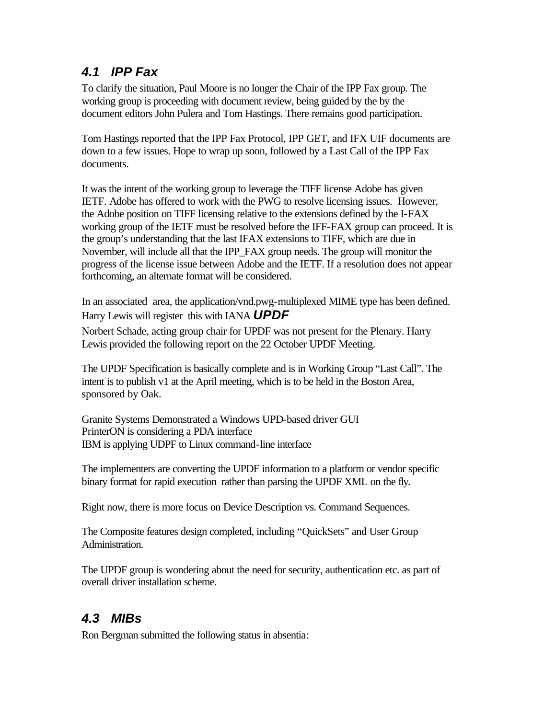## *4.1 IPP Fax*

To clarify the situation, Paul Moore is no longer the Chair of the IPP Fax group. The working group is proceeding with document review, being guided by the by the document editors John Pulera and Tom Hastings. There remains good participation.

Tom Hastings reported that the IPP Fax Protocol, IPP GET, and IFX UIF documents are down to a few issues. Hope to wrap up soon, followed by a Last Call of the IPP Fax documents.

It was the intent of the working group to leverage the TIFF license Adobe has given IETF. Adobe has offered to work with the PWG to resolve licensing issues. However, the Adobe position on TIFF licensing relative to the extensions defined by the I-FAX working group of the IETF must be resolved before the IFF-FAX group can proceed. It is the group's understanding that the last IFAX extensions to TIFF, which are due in November, will include all that the IPP\_FAX group needs. The group will monitor the progress of the license issue between Adobe and the IETF. If a resolution does not appear forthcoming, an alternate format will be considered.

In an associated area, the application/vnd.pwg-multiplexed MIME type has been defined. Harry Lewis will register this with IANA *UPDF*

Norbert Schade, acting group chair for UPDF was not present for the Plenary. Harry Lewis provided the following report on the 22 October UPDF Meeting.

The UPDF Specification is basically complete and is in Working Group "Last Call". The intent is to publish v1 at the April meeting, which is to be held in the Boston Area, sponsored by Oak.

Granite Systems Demonstrated a Windows UPD-based driver GUI PrinterON is considering a PDA interface IBM is applying UDPF to Linux command-line interface

The implementers are converting the UPDF information to a platform or vendor specific binary format for rapid execution rather than parsing the UPDF XML on the fly.

Right now, there is more focus on Device Description vs. Command Sequences.

The Composite features design completed, including "QuickSets" and User Group Administration.

The UPDF group is wondering about the need for security, authentication etc. as part of overall driver installation scheme.

## *4.3 MIBs*

Ron Bergman submitted the following status in absentia: